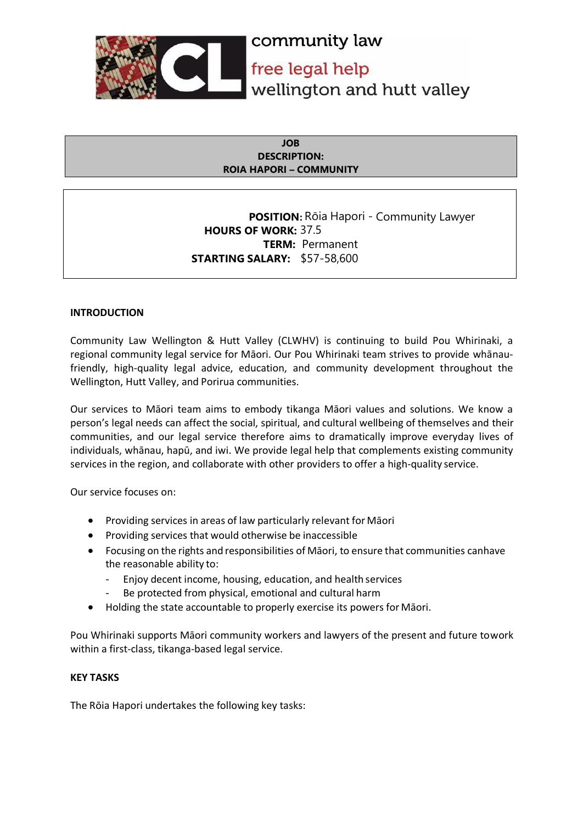

#### **JOB DESCRIPTION: ROIA HAPORI – COMMUNITY**

**POSITION:** Rōia Hapori - Community Lawyer **HOURS OF WORK:** 37.5 **TERM:** Permanent **STARTING SALARY:** \$57-58,600

## **INTRODUCTION**

Community Law Wellington & Hutt Valley (CLWHV) is continuing to build Pou Whirinaki, a regional community legal service for Māori. Our Pou Whirinaki team strives to provide whānaufriendly, high-quality legal advice, education, and community development throughout the Wellington, Hutt Valley, and Porirua communities.

Our services to Māori team aims to embody tikanga Māori values and solutions. We know a person's legal needs can affect the social, spiritual, and cultural wellbeing of themselves and their communities, and our legal service therefore aims to dramatically improve everyday lives of individuals, whānau, hapū, and iwi. We provide legal help that complements existing community services in the region, and collaborate with other providers to offer a high-quality service.

Our service focuses on:

- Providing services in areas of law particularly relevant for Māori
- Providing services that would otherwise be inaccessible
- Focusing on the rights and responsibilities of Māori, to ensure that communities canhave the reasonable ability to:
	- Enjoy decent income, housing, education, and health services
	- Be protected from physical, emotional and cultural harm
- Holding the state accountable to properly exercise its powers for Māori.

Pou Whirinaki supports Māori community workers and lawyers of the present and future towork within a first-class, tikanga-based legal service.

## **KEY TASKS**

The Rōia Hapori undertakes the following key tasks: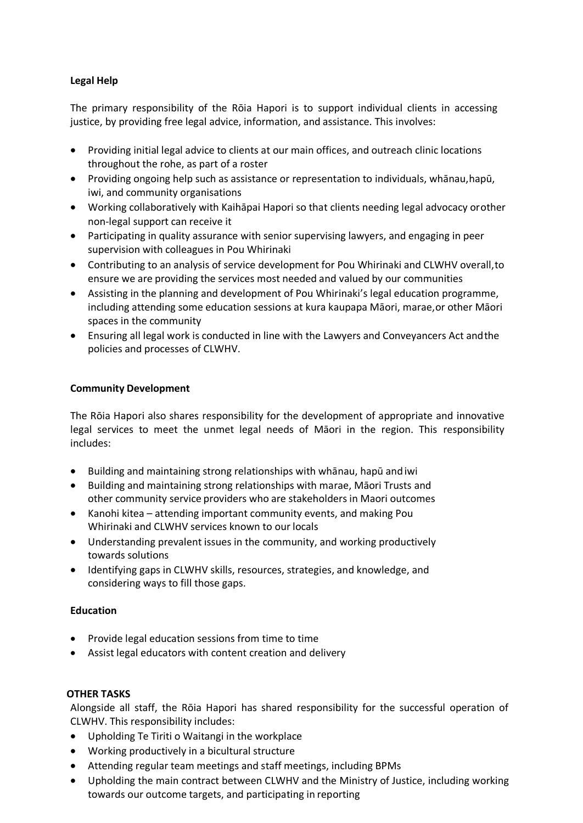# **Legal Help**

The primary responsibility of the Rōia Hapori is to support individual clients in accessing justice, by providing free legal advice, information, and assistance. This involves:

- Providing initial legal advice to clients at our main offices, and outreach clinic locations throughout the rohe, as part of a roster
- Providing ongoing help such as assistance or representation to individuals, whānau,hapū, iwi, and community organisations
- Working collaboratively with Kaihāpai Hapori so that clients needing legal advocacy orother non-legal support can receive it
- Participating in quality assurance with senior supervising lawyers, and engaging in peer supervision with colleagues in Pou Whirinaki
- Contributing to an analysis of service development for Pou Whirinaki and CLWHV overall,to ensure we are providing the services most needed and valued by our communities
- Assisting in the planning and development of Pou Whirinaki's legal education programme, including attending some education sessions at kura kaupapa Māori, marae,or other Māori spaces in the community
- Ensuring all legal work is conducted in line with the Lawyers and Conveyancers Act andthe policies and processes of CLWHV.

## **Community Development**

The Rōia Hapori also shares responsibility for the development of appropriate and innovative legal services to meet the unmet legal needs of Māori in the region. This responsibility includes:

- Building and maintaining strong relationships with whānau, hapū andiwi
- Building and maintaining strong relationships with marae, Māori Trusts and other community service providers who are stakeholders in Maori outcomes
- Kanohi kitea attending important community events, and making Pou Whirinaki and CLWHV services known to our locals
- Understanding prevalent issues in the community, and working productively towards solutions
- Identifying gaps in CLWHV skills, resources, strategies, and knowledge, and considering ways to fill those gaps.

## **Education**

- Provide legal education sessions from time to time
- Assist legal educators with content creation and delivery

## **OTHER TASKS**

Alongside all staff, the Rōia Hapori has shared responsibility for the successful operation of CLWHV. This responsibility includes:

- Upholding Te Tiriti o Waitangi in the workplace
- Working productively in a bicultural structure
- Attending regular team meetings and staff meetings, including BPMs
- Upholding the main contract between CLWHV and the Ministry of Justice, including working towards our outcome targets, and participating in reporting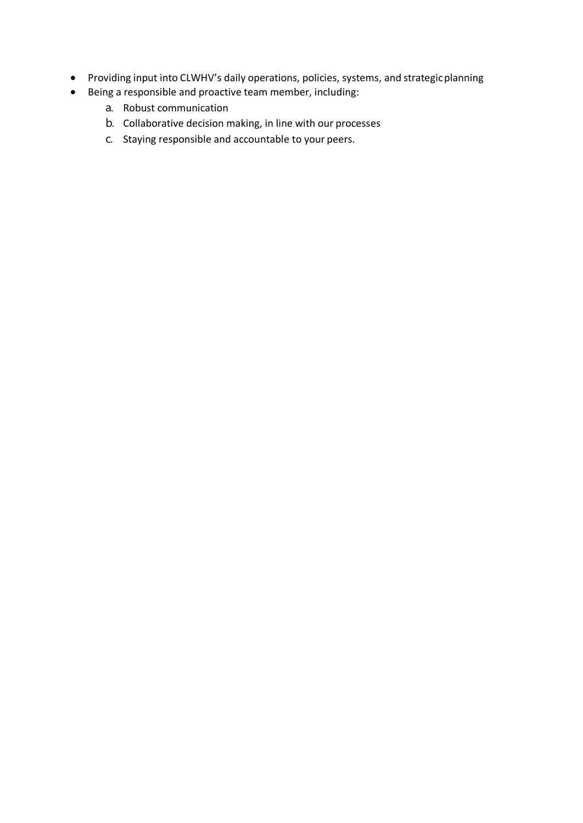- Providing input into CLWHV's daily operations, policies, systems, and strategicplanning
- Being a responsible and proactive team member, including:
	- a. Robust communication
	- b. Collaborative decision making, in line with our processes
	- c. Staying responsible and accountable to your peers.